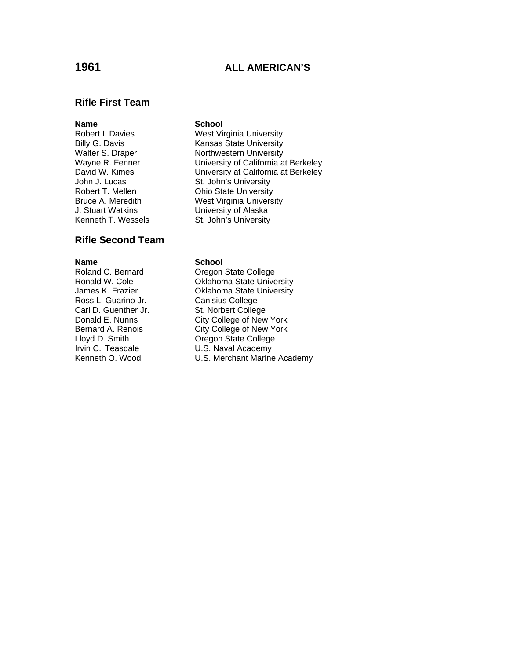## **1961 ALL AMERICAN'S**

## **Rifle First Team**

### **Name** School

John J. Lucas St. John's University J. Stuart Watkins University of Alaska Kenneth T. Wessels **St. John's University** 

## **Rifle Second Team**

**Name School**<br> **Roland C. Bernard C. Degon** Ross L. Guarino Jr. Canisius College Carl D. Guenther Jr. St. Norbert College

# Robert I. Davies West Virginia University Billy G. Davis<br>
Walter S. Draper<br>
Walter S. Draper<br>
Worthwestern University Northwestern University Wayne R. Fenner **University of California at Berkeley** David W. Kimes **University at California at Berkeley** Robert T. Mellen **Ohio State University** Bruce A. Meredith West Virginia University

Roland C. Bernard College College Consumer College Ronald W. Cole College College College Ronald W. **Oklahoma State University** James K. Frazier **CRIAL** Oklahoma State University Donald E. Nunns City College of New York Bernard A. Renois<br>
Lloyd D. Smith Coregon State College Lloyd D. Smith Coregon State College<br>
Irvin C. Teasdale C. S. Naval Academy U.S. Naval Academy Kenneth O. Wood U.S. Merchant Marine Academy